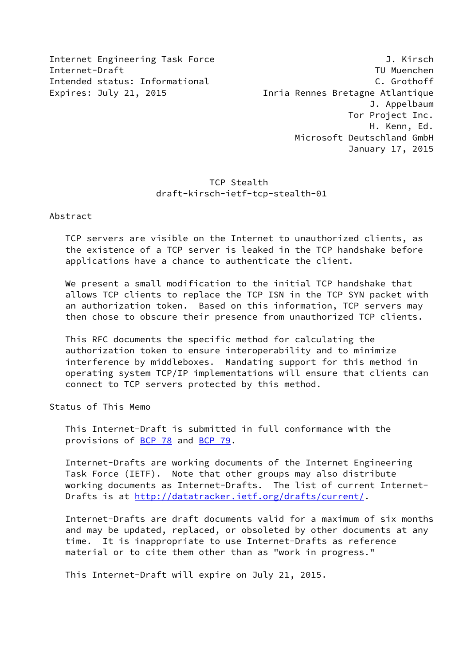Internet Engineering Task Force 3. J. Kirsch Internet-Draft TU Muenchen Intended status: Informational C. Grothoff Expires: July 21, 2015 Inria Rennes Bretagne Atlantique J. Appelbaum Tor Project Inc. H. Kenn, Ed. Microsoft Deutschland GmbH January 17, 2015

## TCP Stealth draft-kirsch-ietf-tcp-stealth-01

Abstract

 TCP servers are visible on the Internet to unauthorized clients, as the existence of a TCP server is leaked in the TCP handshake before applications have a chance to authenticate the client.

 We present a small modification to the initial TCP handshake that allows TCP clients to replace the TCP ISN in the TCP SYN packet with an authorization token. Based on this information, TCP servers may then chose to obscure their presence from unauthorized TCP clients.

 This RFC documents the specific method for calculating the authorization token to ensure interoperability and to minimize interference by middleboxes. Mandating support for this method in operating system TCP/IP implementations will ensure that clients can connect to TCP servers protected by this method.

Status of This Memo

 This Internet-Draft is submitted in full conformance with the provisions of [BCP 78](https://datatracker.ietf.org/doc/pdf/bcp78) and [BCP 79](https://datatracker.ietf.org/doc/pdf/bcp79).

 Internet-Drafts are working documents of the Internet Engineering Task Force (IETF). Note that other groups may also distribute working documents as Internet-Drafts. The list of current Internet Drafts is at<http://datatracker.ietf.org/drafts/current/>.

 Internet-Drafts are draft documents valid for a maximum of six months and may be updated, replaced, or obsoleted by other documents at any time. It is inappropriate to use Internet-Drafts as reference material or to cite them other than as "work in progress."

This Internet-Draft will expire on July 21, 2015.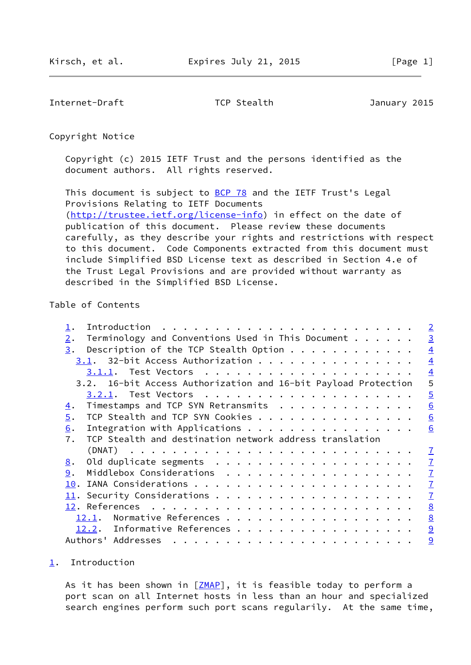<span id="page-1-1"></span>Internet-Draft TCP Stealth TCP Stealth January 2015

Copyright Notice

 Copyright (c) 2015 IETF Trust and the persons identified as the document authors. All rights reserved.

This document is subject to **[BCP 78](https://datatracker.ietf.org/doc/pdf/bcp78)** and the IETF Trust's Legal Provisions Relating to IETF Documents [\(http://trustee.ietf.org/license-info](http://trustee.ietf.org/license-info)) in effect on the date of publication of this document. Please review these documents carefully, as they describe your rights and restrictions with respect to this document. Code Components extracted from this document must include Simplified BSD License text as described in Section 4.e of the Trust Legal Provisions and are provided without warranty as described in the Simplified BSD License.

## Table of Contents

|                  |                                                                | $\overline{2}$  |
|------------------|----------------------------------------------------------------|-----------------|
| $\overline{2}$ . | Terminology and Conventions Used in This Document              | $\overline{3}$  |
| 3.               | Description of the TCP Stealth Option $\ldots$                 | $\overline{4}$  |
|                  | 3.1. 32-bit Access Authorization                               | $\overline{4}$  |
|                  |                                                                | $\overline{4}$  |
|                  | 3.2. 16-bit Access Authorization and 16-bit Payload Protection | 5               |
|                  |                                                                | $\overline{5}$  |
| 4.               | Timestamps and TCP SYN Retransmits                             | 6               |
| 5.               | TCP Stealth and TCP SYN Cookies                                | 6               |
| 6.               | Integration with Applications                                  | 6               |
| 7.               | TCP Stealth and destination network address translation        |                 |
|                  |                                                                | $\mathbf{I}$    |
| 8.               |                                                                | $\overline{1}$  |
| 9.               | Middlebox Considerations                                       | $\overline{1}$  |
| 10.              |                                                                | $\overline{1}$  |
|                  |                                                                | $\overline{1}$  |
|                  |                                                                | 8               |
|                  | Normative References<br>12.1.                                  | 8               |
|                  |                                                                |                 |
|                  | 12.2. Informative References                                   | $\overline{9}$  |
|                  |                                                                | $\underline{9}$ |

## <span id="page-1-0"></span>[1](#page-1-0). Introduction

As it has been shown in [\[ZMAP](#page-9-2)], it is feasible today to perform a port scan on all Internet hosts in less than an hour and specialized search engines perform such port scans regularily. At the same time,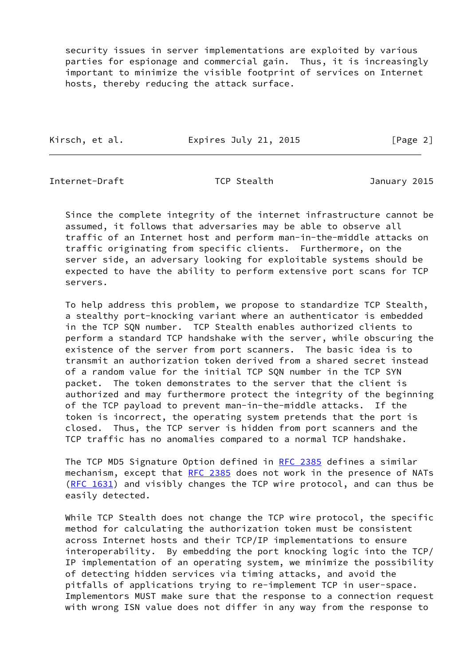security issues in server implementations are exploited by various parties for espionage and commercial gain. Thus, it is increasingly important to minimize the visible footprint of services on Internet hosts, thereby reducing the attack surface.

Kirsch, et al. Expires July 21, 2015 [Page 2]

<span id="page-2-0"></span>Internet-Draft TCP Stealth January 2015

 Since the complete integrity of the internet infrastructure cannot be assumed, it follows that adversaries may be able to observe all traffic of an Internet host and perform man-in-the-middle attacks on traffic originating from specific clients. Furthermore, on the server side, an adversary looking for exploitable systems should be expected to have the ability to perform extensive port scans for TCP servers.

 To help address this problem, we propose to standardize TCP Stealth, a stealthy port-knocking variant where an authenticator is embedded in the TCP SQN number. TCP Stealth enables authorized clients to perform a standard TCP handshake with the server, while obscuring the existence of the server from port scanners. The basic idea is to transmit an authorization token derived from a shared secret instead of a random value for the initial TCP SQN number in the TCP SYN packet. The token demonstrates to the server that the client is authorized and may furthermore protect the integrity of the beginning of the TCP payload to prevent man-in-the-middle attacks. If the token is incorrect, the operating system pretends that the port is closed. Thus, the TCP server is hidden from port scanners and the TCP traffic has no anomalies compared to a normal TCP handshake.

The TCP MD5 Signature Option defined in [RFC 2385](https://datatracker.ietf.org/doc/pdf/rfc2385) defines a similar mechanism, except that [RFC 2385](https://datatracker.ietf.org/doc/pdf/rfc2385) does not work in the presence of NATs [\(RFC 1631](https://datatracker.ietf.org/doc/pdf/rfc1631)) and visibly changes the TCP wire protocol, and can thus be easily detected.

 While TCP Stealth does not change the TCP wire protocol, the specific method for calculating the authorization token must be consistent across Internet hosts and their TCP/IP implementations to ensure interoperability. By embedding the port knocking logic into the TCP/ IP implementation of an operating system, we minimize the possibility of detecting hidden services via timing attacks, and avoid the pitfalls of applications trying to re-implement TCP in user-space. Implementors MUST make sure that the response to a connection request with wrong ISN value does not differ in any way from the response to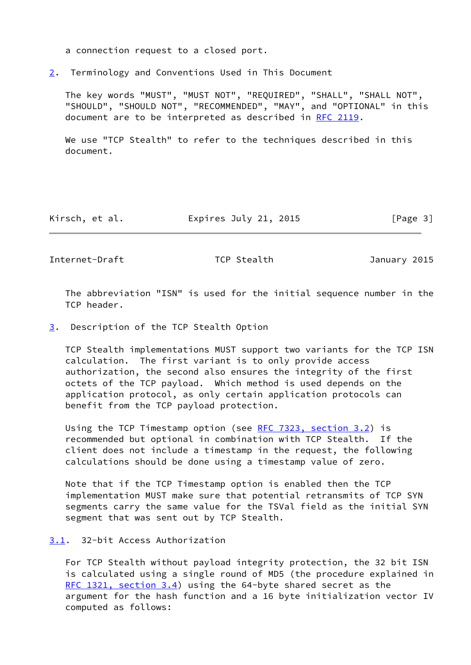a connection request to a closed port.

<span id="page-3-0"></span>[2](#page-3-0). Terminology and Conventions Used in This Document

 The key words "MUST", "MUST NOT", "REQUIRED", "SHALL", "SHALL NOT", "SHOULD", "SHOULD NOT", "RECOMMENDED", "MAY", and "OPTIONAL" in this document are to be interpreted as described in [RFC 2119.](https://datatracker.ietf.org/doc/pdf/rfc2119)

 We use "TCP Stealth" to refer to the techniques described in this document.

| Kirsch, et al. | Expires July 21, 2015 | [Page 3] |
|----------------|-----------------------|----------|
|----------------|-----------------------|----------|

<span id="page-3-2"></span>Internet-Draft TCP Stealth January 2015

 The abbreviation "ISN" is used for the initial sequence number in the TCP header.

<span id="page-3-1"></span>[3](#page-3-1). Description of the TCP Stealth Option

 TCP Stealth implementations MUST support two variants for the TCP ISN calculation. The first variant is to only provide access authorization, the second also ensures the integrity of the first octets of the TCP payload. Which method is used depends on the application protocol, as only certain application protocols can benefit from the TCP payload protection.

Using the TCP Timestamp option (see [RFC 7323, section](https://datatracker.ietf.org/doc/pdf/rfc7323#section-3.2) 3.2) is recommended but optional in combination with TCP Stealth. If the client does not include a timestamp in the request, the following calculations should be done using a timestamp value of zero.

 Note that if the TCP Timestamp option is enabled then the TCP implementation MUST make sure that potential retransmits of TCP SYN segments carry the same value for the TSVal field as the initial SYN segment that was sent out by TCP Stealth.

<span id="page-3-3"></span>[3.1](#page-3-3). 32-bit Access Authorization

 For TCP Stealth without payload integrity protection, the 32 bit ISN is calculated using a single round of MD5 (the procedure explained in [RFC 1321, section](https://datatracker.ietf.org/doc/pdf/rfc1321#section-3.4) 3.4) using the 64-byte shared secret as the argument for the hash function and a 16 byte initialization vector IV computed as follows: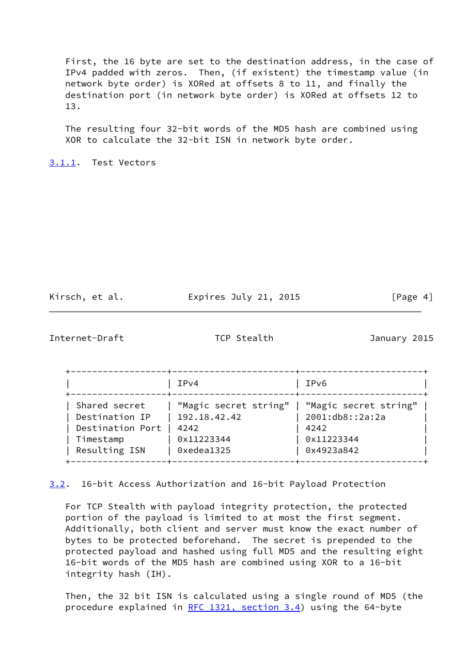First, the 16 byte are set to the destination address, in the case of IPv4 padded with zeros. Then, (if existent) the timestamp value (in network byte order) is XORed at offsets 8 to 11, and finally the destination port (in network byte order) is XORed at offsets 12 to 13.

 The resulting four 32-bit words of the MD5 hash are combined using XOR to calculate the 32-bit ISN in network byte order.

<span id="page-4-0"></span>[3.1.1](#page-4-0). Test Vectors

Kirsch, et al. Expires July 21, 2015 [Page 4]

<span id="page-4-1"></span>Internet-Draft TCP Stealth January 2015

|                                                                                   | IPv4                                                                                              | IPv6                                                |
|-----------------------------------------------------------------------------------|---------------------------------------------------------------------------------------------------|-----------------------------------------------------|
| Shared secret<br>Destination IP<br>Destination Port<br>Timestamp<br>Resulting ISN | "Magic secret string"   "Magic secret string"<br>192.18.42.42<br>4242<br>0x11223344<br>0xedea1325 | 2001:db8::2a:2a<br>4242<br>0x11223344<br>0x4923a842 |

<span id="page-4-2"></span>[3.2](#page-4-2). 16-bit Access Authorization and 16-bit Payload Protection

 For TCP Stealth with payload integrity protection, the protected portion of the payload is limited to at most the first segment. Additionally, both client and server must know the exact number of bytes to be protected beforehand. The secret is prepended to the protected payload and hashed using full MD5 and the resulting eight 16-bit words of the MD5 hash are combined using XOR to a 16-bit integrity hash (IH).

 Then, the 32 bit ISN is calculated using a single round of MD5 (the procedure explained in [RFC 1321, section](https://datatracker.ietf.org/doc/pdf/rfc1321#section-3.4) 3.4) using the 64-byte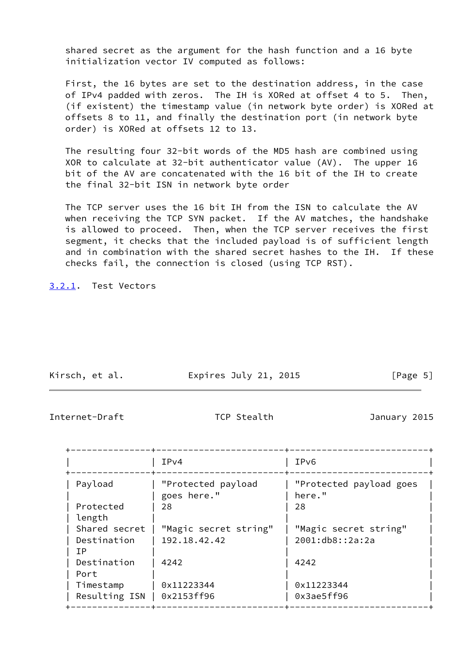shared secret as the argument for the hash function and a 16 byte initialization vector IV computed as follows:

 First, the 16 bytes are set to the destination address, in the case of IPv4 padded with zeros. The IH is XORed at offset 4 to 5. Then, (if existent) the timestamp value (in network byte order) is XORed at offsets 8 to 11, and finally the destination port (in network byte order) is XORed at offsets 12 to 13.

 The resulting four 32-bit words of the MD5 hash are combined using XOR to calculate at 32-bit authenticator value (AV). The upper 16 bit of the AV are concatenated with the 16 bit of the IH to create the final 32-bit ISN in network byte order

 The TCP server uses the 16 bit IH from the ISN to calculate the AV when receiving the TCP SYN packet. If the AV matches, the handshake is allowed to proceed. Then, when the TCP server receives the first segment, it checks that the included payload is of sufficient length and in combination with the shared secret hashes to the IH. If these checks fail, the connection is closed (using TCP RST).

<span id="page-5-0"></span>[3.2.1](#page-5-0). Test Vectors

| Kirsch, et al. | Expires July 21, 2015 | [Page 5] |
|----------------|-----------------------|----------|

<span id="page-5-1"></span>Internet-Draft TCP Stealth January 2015

|                     | IPv4                              | IP <sub>v6</sub>                  |
|---------------------|-----------------------------------|-----------------------------------|
| Payload             | "Protected payload<br>goes here." | "Protected payload goes<br>here." |
| Protected<br>length | 28                                | 28                                |
| Shared secret       | "Magic secret string"             | "Magic secret string"             |
| Destination<br>ТP   | 192.18.42.42                      | 2001:db8::2a:2a                   |
| Destination<br>Port | 4242                              | 4242                              |
| Timestamp           | 0x11223344                        | 0x11223344                        |
| Resulting ISN       | 0x2153ff96                        | 0x3ae5ff96                        |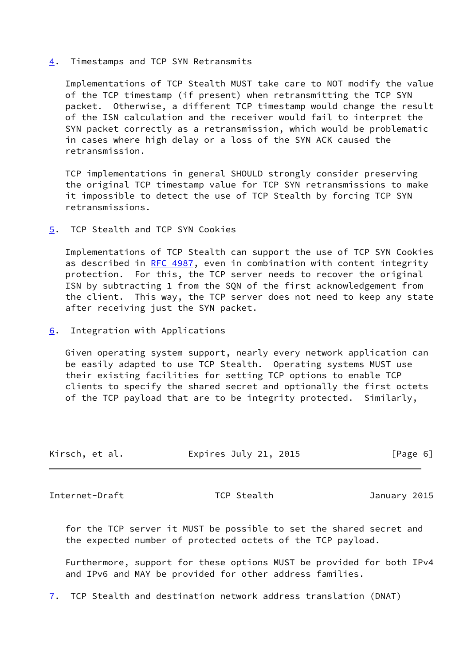<span id="page-6-0"></span>[4](#page-6-0). Timestamps and TCP SYN Retransmits

 Implementations of TCP Stealth MUST take care to NOT modify the value of the TCP timestamp (if present) when retransmitting the TCP SYN packet. Otherwise, a different TCP timestamp would change the result of the ISN calculation and the receiver would fail to interpret the SYN packet correctly as a retransmission, which would be problematic in cases where high delay or a loss of the SYN ACK caused the retransmission.

 TCP implementations in general SHOULD strongly consider preserving the original TCP timestamp value for TCP SYN retransmissions to make it impossible to detect the use of TCP Stealth by forcing TCP SYN retransmissions.

<span id="page-6-1"></span>[5](#page-6-1). TCP Stealth and TCP SYN Cookies

 Implementations of TCP Stealth can support the use of TCP SYN Cookies as described in [RFC 4987](https://datatracker.ietf.org/doc/pdf/rfc4987), even in combination with content integrity protection. For this, the TCP server needs to recover the original ISN by subtracting 1 from the SQN of the first acknowledgement from the client. This way, the TCP server does not need to keep any state after receiving just the SYN packet.

<span id="page-6-2"></span>[6](#page-6-2). Integration with Applications

 Given operating system support, nearly every network application can be easily adapted to use TCP Stealth. Operating systems MUST use their existing facilities for setting TCP options to enable TCP clients to specify the shared secret and optionally the first octets of the TCP payload that are to be integrity protected. Similarly,

| Kirsch, et al. | Expires July 21, 2015 | [Page 6] |
|----------------|-----------------------|----------|
|----------------|-----------------------|----------|

<span id="page-6-3"></span>Internet-Draft TCP Stealth January 2015

 for the TCP server it MUST be possible to set the shared secret and the expected number of protected octets of the TCP payload.

 Furthermore, support for these options MUST be provided for both IPv4 and IPv6 and MAY be provided for other address families.

<span id="page-6-4"></span>[7](#page-6-4). TCP Stealth and destination network address translation (DNAT)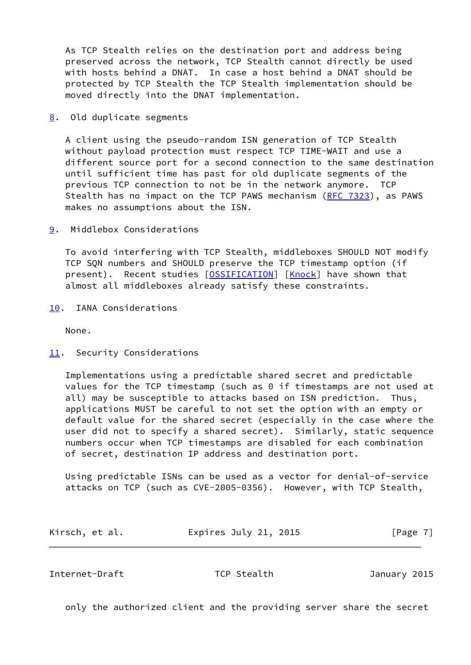As TCP Stealth relies on the destination port and address being preserved across the network, TCP Stealth cannot directly be used with hosts behind a DNAT. In case a host behind a DNAT should be protected by TCP Stealth the TCP Stealth implementation should be moved directly into the DNAT implementation.

<span id="page-7-0"></span>[8](#page-7-0). Old duplicate segments

 A client using the pseudo-random ISN generation of TCP Stealth without payload protection must respect TCP TIME-WAIT and use a different source port for a second connection to the same destination until sufficient time has past for old duplicate segments of the previous TCP connection to not be in the network anymore. TCP Stealth has no impact on the TCP PAWS mechanism [\(RFC 7323](https://datatracker.ietf.org/doc/pdf/rfc7323)), as PAWS makes no assumptions about the ISN.

<span id="page-7-1"></span>[9](#page-7-1). Middlebox Considerations

 To avoid interfering with TCP Stealth, middleboxes SHOULD NOT modify TCP SQN numbers and SHOULD preserve the TCP timestamp option (if present). Recent studies [[OSSIFICATION\]](#page-9-3) [\[Knock\]](#page-9-4) have shown that almost all middleboxes already satisfy these constraints.

<span id="page-7-2"></span>[10.](#page-7-2) IANA Considerations

None.

<span id="page-7-3"></span>[11.](#page-7-3) Security Considerations

 Implementations using a predictable shared secret and predictable values for the TCP timestamp (such as 0 if timestamps are not used at all) may be susceptible to attacks based on ISN prediction. Thus, applications MUST be careful to not set the option with an empty or default value for the shared secret (especially in the case where the user did not to specify a shared secret). Similarly, static sequence numbers occur when TCP timestamps are disabled for each combination of secret, destination IP address and destination port.

 Using predictable ISNs can be used as a vector for denial-of-service attacks on TCP (such as CVE-2005-0356). However, with TCP Stealth,

| Kirsch, et al. | Expires July 21, 2015 | [Page 7] |
|----------------|-----------------------|----------|
|----------------|-----------------------|----------|

<span id="page-7-4"></span>Internet-Draft TCP Stealth January 2015

only the authorized client and the providing server share the secret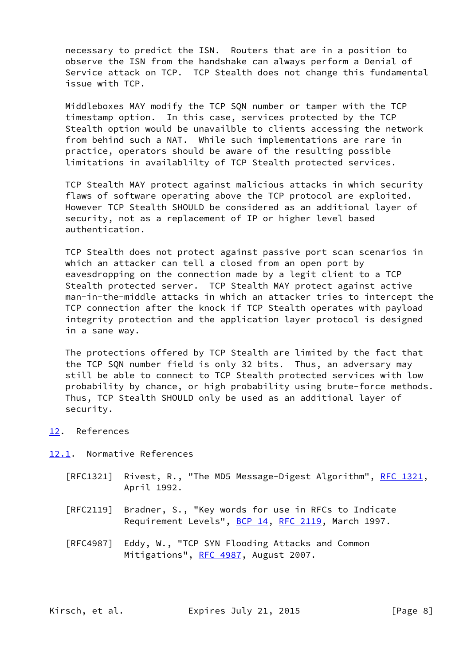necessary to predict the ISN. Routers that are in a position to observe the ISN from the handshake can always perform a Denial of Service attack on TCP. TCP Stealth does not change this fundamental issue with TCP.

 Middleboxes MAY modify the TCP SQN number or tamper with the TCP timestamp option. In this case, services protected by the TCP Stealth option would be unavailble to clients accessing the network from behind such a NAT. While such implementations are rare in practice, operators should be aware of the resulting possible limitations in availablilty of TCP Stealth protected services.

 TCP Stealth MAY protect against malicious attacks in which security flaws of software operating above the TCP protocol are exploited. However TCP Stealth SHOULD be considered as an additional layer of security, not as a replacement of IP or higher level based authentication.

 TCP Stealth does not protect against passive port scan scenarios in which an attacker can tell a closed from an open port by eavesdropping on the connection made by a legit client to a TCP Stealth protected server. TCP Stealth MAY protect against active man-in-the-middle attacks in which an attacker tries to intercept the TCP connection after the knock if TCP Stealth operates with payload integrity protection and the application layer protocol is designed in a sane way.

 The protections offered by TCP Stealth are limited by the fact that the TCP SQN number field is only 32 bits. Thus, an adversary may still be able to connect to TCP Stealth protected services with low probability by chance, or high probability using brute-force methods. Thus, TCP Stealth SHOULD only be used as an additional layer of security.

<span id="page-8-0"></span>[12.](#page-8-0) References

<span id="page-8-1"></span>[12.1](#page-8-1). Normative References

- [RFC1321] Rivest, R., "The MD5 Message-Digest Algorithm", [RFC 1321,](https://datatracker.ietf.org/doc/pdf/rfc1321) April 1992.
- [RFC2119] Bradner, S., "Key words for use in RFCs to Indicate Requirement Levels", [BCP 14](https://datatracker.ietf.org/doc/pdf/bcp14), [RFC 2119](https://datatracker.ietf.org/doc/pdf/rfc2119), March 1997.
- [RFC4987] Eddy, W., "TCP SYN Flooding Attacks and Common Mitigations", [RFC 4987](https://datatracker.ietf.org/doc/pdf/rfc4987), August 2007.

Kirsch, et al. Expires July 21, 2015 [Page 8]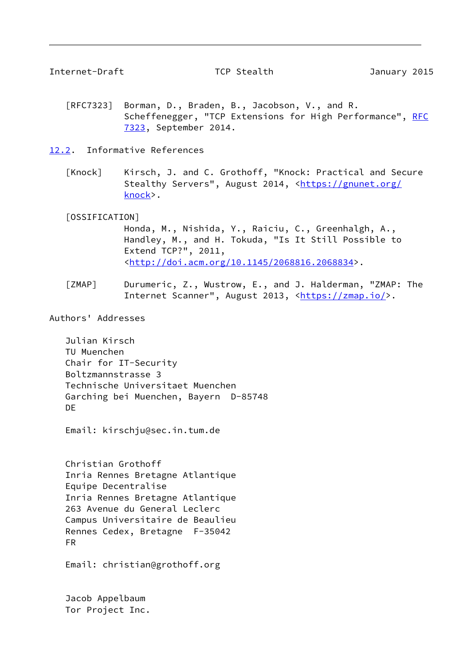<span id="page-9-1"></span>Internet-Draft TCP Stealth January 2015

- [RFC7323] Borman, D., Braden, B., Jacobson, V., and R. Scheffenegger, "TCP Extensions for High Performance", [RFC](https://datatracker.ietf.org/doc/pdf/rfc7323) [7323,](https://datatracker.ietf.org/doc/pdf/rfc7323) September 2014.
- <span id="page-9-4"></span><span id="page-9-0"></span>[12.2](#page-9-0). Informative References
	- [Knock] Kirsch, J. and C. Grothoff, "Knock: Practical and Secure Stealthy Servers", August 2014, <[https://gnunet.org/](https://gnunet.org/knock) [knock>](https://gnunet.org/knock).

## <span id="page-9-3"></span>[OSSIFICATION]

 Honda, M., Nishida, Y., Raiciu, C., Greenhalgh, A., Handley, M., and H. Tokuda, "Is It Still Possible to Extend TCP?", 2011, <[http://doi.acm.org/10.1145/2068816.2068834>](http://doi.acm.org/10.1145/2068816.2068834).

<span id="page-9-2"></span> [ZMAP] Durumeric, Z., Wustrow, E., and J. Halderman, "ZMAP: The Internet Scanner", August 2013, <[https://zmap.io/>](https://zmap.io/).

Authors' Addresses

 Julian Kirsch TU Muenchen Chair for IT-Security Boltzmannstrasse 3 Technische Universitaet Muenchen Garching bei Muenchen, Bayern D-85748 DE

Email: kirschju@sec.in.tum.de

 Christian Grothoff Inria Rennes Bretagne Atlantique Equipe Decentralise Inria Rennes Bretagne Atlantique 263 Avenue du General Leclerc Campus Universitaire de Beaulieu Rennes Cedex, Bretagne F-35042 FR

Email: christian@grothoff.org

 Jacob Appelbaum Tor Project Inc.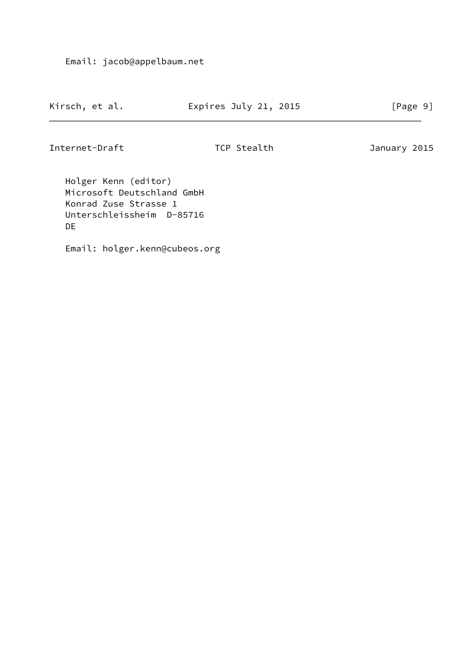Email: jacob@appelbaum.net

| Kirsch, et al. | Expires July 21, 2015 | [Page 9] |  |
|----------------|-----------------------|----------|--|
|                |                       |          |  |

Internet-Draft TCP Stealth January 2015

 Holger Kenn (editor) Microsoft Deutschland GmbH Konrad Zuse Strasse 1 Unterschleissheim D-85716 DE

Email: holger.kenn@cubeos.org